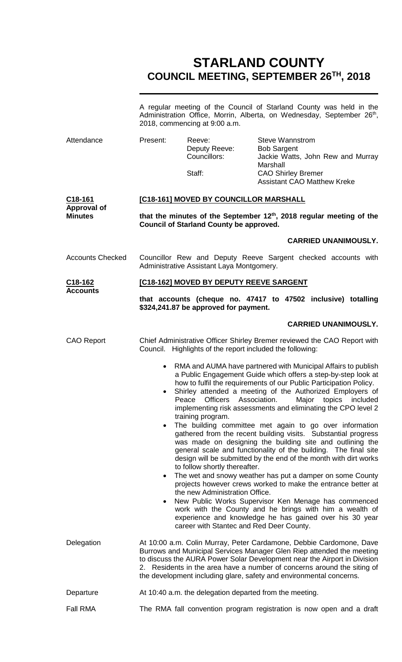# **STARLAND COUNTY COUNCIL MEETING, SEPTEMBER 26TH, 2018**

|                                         | A regular meeting of the Council of Starland County was held in the<br>Administration Office, Morrin, Alberta, on Wednesday, September 26th,<br>2018, commencing at 9:00 a.m.                                                                                                                                                                                              |                                                                                                                                                                                                                                                                                                                                                                                                                                                                                                                                                                                                                                                                                                                                                                                                                                                                                                                                                                                                                                                                                   |                                                                                                                             |                                                                                 |  |
|-----------------------------------------|----------------------------------------------------------------------------------------------------------------------------------------------------------------------------------------------------------------------------------------------------------------------------------------------------------------------------------------------------------------------------|-----------------------------------------------------------------------------------------------------------------------------------------------------------------------------------------------------------------------------------------------------------------------------------------------------------------------------------------------------------------------------------------------------------------------------------------------------------------------------------------------------------------------------------------------------------------------------------------------------------------------------------------------------------------------------------------------------------------------------------------------------------------------------------------------------------------------------------------------------------------------------------------------------------------------------------------------------------------------------------------------------------------------------------------------------------------------------------|-----------------------------------------------------------------------------------------------------------------------------|---------------------------------------------------------------------------------|--|
| Attendance                              | Present:                                                                                                                                                                                                                                                                                                                                                                   | Reeve:<br>Deputy Reeve:<br>Councillors:<br>Staff:                                                                                                                                                                                                                                                                                                                                                                                                                                                                                                                                                                                                                                                                                                                                                                                                                                                                                                                                                                                                                                 | <b>Steve Wannstrom</b><br><b>Bob Sargent</b><br>Marshall<br><b>CAO Shirley Bremer</b><br><b>Assistant CAO Matthew Kreke</b> | Jackie Watts, John Rew and Murray                                               |  |
| C <sub>18</sub> -161                    | [C18-161] MOVED BY COUNCILLOR MARSHALL                                                                                                                                                                                                                                                                                                                                     |                                                                                                                                                                                                                                                                                                                                                                                                                                                                                                                                                                                                                                                                                                                                                                                                                                                                                                                                                                                                                                                                                   |                                                                                                                             |                                                                                 |  |
| <b>Approval of</b><br><b>Minutes</b>    | that the minutes of the September 12th, 2018 regular meeting of the<br><b>Council of Starland County be approved.</b>                                                                                                                                                                                                                                                      |                                                                                                                                                                                                                                                                                                                                                                                                                                                                                                                                                                                                                                                                                                                                                                                                                                                                                                                                                                                                                                                                                   |                                                                                                                             |                                                                                 |  |
|                                         |                                                                                                                                                                                                                                                                                                                                                                            |                                                                                                                                                                                                                                                                                                                                                                                                                                                                                                                                                                                                                                                                                                                                                                                                                                                                                                                                                                                                                                                                                   |                                                                                                                             | <b>CARRIED UNANIMOUSLY.</b>                                                     |  |
| <b>Accounts Checked</b>                 | Councillor Rew and Deputy Reeve Sargent checked accounts with<br>Administrative Assistant Laya Montgomery.                                                                                                                                                                                                                                                                 |                                                                                                                                                                                                                                                                                                                                                                                                                                                                                                                                                                                                                                                                                                                                                                                                                                                                                                                                                                                                                                                                                   |                                                                                                                             |                                                                                 |  |
| C <sub>18</sub> -162<br><b>Accounts</b> | [C18-162] MOVED BY DEPUTY REEVE SARGENT                                                                                                                                                                                                                                                                                                                                    |                                                                                                                                                                                                                                                                                                                                                                                                                                                                                                                                                                                                                                                                                                                                                                                                                                                                                                                                                                                                                                                                                   |                                                                                                                             |                                                                                 |  |
|                                         |                                                                                                                                                                                                                                                                                                                                                                            | that accounts (cheque no. 47417 to 47502 inclusive) totalling<br>\$324,241.87 be approved for payment.                                                                                                                                                                                                                                                                                                                                                                                                                                                                                                                                                                                                                                                                                                                                                                                                                                                                                                                                                                            |                                                                                                                             |                                                                                 |  |
|                                         |                                                                                                                                                                                                                                                                                                                                                                            |                                                                                                                                                                                                                                                                                                                                                                                                                                                                                                                                                                                                                                                                                                                                                                                                                                                                                                                                                                                                                                                                                   |                                                                                                                             | <b>CARRIED UNANIMOUSLY.</b>                                                     |  |
| <b>CAO Report</b>                       | Chief Administrative Officer Shirley Bremer reviewed the CAO Report with<br>Highlights of the report included the following:<br>Council.                                                                                                                                                                                                                                   |                                                                                                                                                                                                                                                                                                                                                                                                                                                                                                                                                                                                                                                                                                                                                                                                                                                                                                                                                                                                                                                                                   |                                                                                                                             |                                                                                 |  |
|                                         | $\bullet$<br>$\bullet$<br>$\bullet$                                                                                                                                                                                                                                                                                                                                        | RMA and AUMA have partnered with Municipal Affairs to publish<br>a Public Engagement Guide which offers a step-by-step look at<br>how to fulfil the requirements of our Public Participation Policy.<br>Shirley attended a meeting of the Authorized Employers of<br><b>Officers</b><br>Peace<br>implementing risk assessments and eliminating the CPO level 2<br>training program.<br>The building committee met again to go over information<br>gathered from the recent building visits. Substantial progress<br>was made on designing the building site and outlining the<br>general scale and functionality of the building. The final site<br>design will be submitted by the end of the month with dirt works<br>to follow shortly thereafter.<br>projects however crews worked to make the entrance better at<br>the new Administration Office.<br>New Public Works Supervisor Ken Menage has commenced<br>work with the County and he brings with him a wealth of<br>experience and knowledge he has gained over his 30 year<br>career with Stantec and Red Deer County. | Association.<br>Major                                                                                                       | topics<br>included<br>The wet and snowy weather has put a damper on some County |  |
| Delegation                              | At 10:00 a.m. Colin Murray, Peter Cardamone, Debbie Cardomone, Dave<br>Burrows and Municipal Services Manager Glen Riep attended the meeting<br>to discuss the AURA Power Solar Development near the Airport in Division<br>2. Residents in the area have a number of concerns around the siting of<br>the development including glare, safety and environmental concerns. |                                                                                                                                                                                                                                                                                                                                                                                                                                                                                                                                                                                                                                                                                                                                                                                                                                                                                                                                                                                                                                                                                   |                                                                                                                             |                                                                                 |  |
| Departure                               | At 10:40 a.m. the delegation departed from the meeting.                                                                                                                                                                                                                                                                                                                    |                                                                                                                                                                                                                                                                                                                                                                                                                                                                                                                                                                                                                                                                                                                                                                                                                                                                                                                                                                                                                                                                                   |                                                                                                                             |                                                                                 |  |
| Fall RMA                                |                                                                                                                                                                                                                                                                                                                                                                            | The RMA fall convention program registration is now open and a draft                                                                                                                                                                                                                                                                                                                                                                                                                                                                                                                                                                                                                                                                                                                                                                                                                                                                                                                                                                                                              |                                                                                                                             |                                                                                 |  |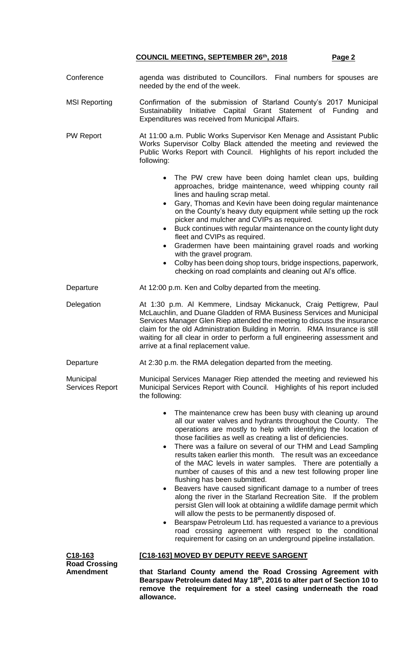| Conference                                                       | agenda was distributed to Councillors. Final numbers for spouses are<br>needed by the end of the week.                                                                                                                                                                                                                                                                                                                                                                                                                                                                                                                                                                                                                                                                                                                                                                                                                                                                                                                                                                |  |  |  |
|------------------------------------------------------------------|-----------------------------------------------------------------------------------------------------------------------------------------------------------------------------------------------------------------------------------------------------------------------------------------------------------------------------------------------------------------------------------------------------------------------------------------------------------------------------------------------------------------------------------------------------------------------------------------------------------------------------------------------------------------------------------------------------------------------------------------------------------------------------------------------------------------------------------------------------------------------------------------------------------------------------------------------------------------------------------------------------------------------------------------------------------------------|--|--|--|
| <b>MSI Reporting</b>                                             | Confirmation of the submission of Starland County's 2017 Municipal<br>Sustainability Initiative Capital Grant Statement of Funding<br>and<br>Expenditures was received from Municipal Affairs.                                                                                                                                                                                                                                                                                                                                                                                                                                                                                                                                                                                                                                                                                                                                                                                                                                                                        |  |  |  |
| PW Report                                                        | At 11:00 a.m. Public Works Supervisor Ken Menage and Assistant Public<br>Works Supervisor Colby Black attended the meeting and reviewed the<br>Public Works Report with Council. Highlights of his report included the<br>following:                                                                                                                                                                                                                                                                                                                                                                                                                                                                                                                                                                                                                                                                                                                                                                                                                                  |  |  |  |
|                                                                  | • The PW crew have been doing hamlet clean ups, building<br>approaches, bridge maintenance, weed whipping county rail<br>lines and hauling scrap metal.<br>Gary, Thomas and Kevin have been doing regular maintenance<br>$\bullet$<br>on the County's heavy duty equipment while setting up the rock<br>picker and mulcher and CVIPs as required.<br>Buck continues with regular maintenance on the county light duty<br>$\bullet$<br>fleet and CVIPs as required.<br>Gradermen have been maintaining gravel roads and working<br>$\bullet$<br>with the gravel program.<br>Colby has been doing shop tours, bridge inspections, paperwork,<br>$\bullet$<br>checking on road complaints and cleaning out Al's office.                                                                                                                                                                                                                                                                                                                                                  |  |  |  |
| Departure                                                        | At 12:00 p.m. Ken and Colby departed from the meeting.                                                                                                                                                                                                                                                                                                                                                                                                                                                                                                                                                                                                                                                                                                                                                                                                                                                                                                                                                                                                                |  |  |  |
| Delegation                                                       | At 1:30 p.m. Al Kemmere, Lindsay Mickanuck, Craig Pettigrew, Paul<br>McLauchlin, and Duane Gladden of RMA Business Services and Municipal<br>Services Manager Glen Riep attended the meeting to discuss the insurance<br>claim for the old Administration Building in Morrin. RMA Insurance is still<br>waiting for all clear in order to perform a full engineering assessment and<br>arrive at a final replacement value.                                                                                                                                                                                                                                                                                                                                                                                                                                                                                                                                                                                                                                           |  |  |  |
| Departure                                                        | At 2:30 p.m. the RMA delegation departed from the meeting.                                                                                                                                                                                                                                                                                                                                                                                                                                                                                                                                                                                                                                                                                                                                                                                                                                                                                                                                                                                                            |  |  |  |
| Municipal<br><b>Services Report</b>                              | Municipal Services Manager Riep attended the meeting and reviewed his<br>Municipal Services Report with Council. Highlights of his report included<br>the following:                                                                                                                                                                                                                                                                                                                                                                                                                                                                                                                                                                                                                                                                                                                                                                                                                                                                                                  |  |  |  |
|                                                                  | • The maintenance crew has been busy with cleaning up around<br>all our water valves and hydrants throughout the County. The<br>operations are mostly to help with identifying the location of<br>those facilities as well as creating a list of deficiencies.<br>There was a failure on several of our THM and Lead Sampling<br>$\bullet$<br>results taken earlier this month. The result was an exceedance<br>of the MAC levels in water samples. There are potentially a<br>number of causes of this and a new test following proper line<br>flushing has been submitted.<br>Beavers have caused significant damage to a number of trees<br>$\bullet$<br>along the river in the Starland Recreation Site. If the problem<br>persist Glen will look at obtaining a wildlife damage permit which<br>will allow the pests to be permanently disposed of.<br>Bearspaw Petroleum Ltd. has requested a variance to a previous<br>$\bullet$<br>road crossing agreement with respect to the conditional<br>requirement for casing on an underground pipeline installation. |  |  |  |
| C <sub>18</sub> -163<br><b>Road Crossing</b><br><b>Amendment</b> | <b>[C18-163] MOVED BY DEPUTY REEVE SARGENT</b><br>that Starland County amend the Road Crossing Agreement with                                                                                                                                                                                                                                                                                                                                                                                                                                                                                                                                                                                                                                                                                                                                                                                                                                                                                                                                                         |  |  |  |

**Bearspaw Petroleum dated May 18th, 2016 to alter part of Section 10 to remove the requirement for a steel casing underneath the road** 

**allowance.**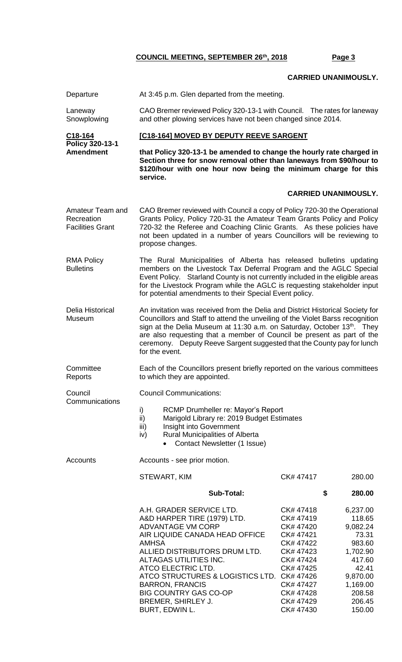## **CARRIED UNANIMOUSLY.**

| Departure                                                 | At 3:45 p.m. Glen departed from the meeting.                                                                                                                                                                                                                                                                                                                                                                   |                                                                                                                                                          |                                                                                                                                        |  |  |
|-----------------------------------------------------------|----------------------------------------------------------------------------------------------------------------------------------------------------------------------------------------------------------------------------------------------------------------------------------------------------------------------------------------------------------------------------------------------------------------|----------------------------------------------------------------------------------------------------------------------------------------------------------|----------------------------------------------------------------------------------------------------------------------------------------|--|--|
| Laneway<br>Snowplowing                                    | CAO Bremer reviewed Policy 320-13-1 with Council. The rates for laneway<br>and other plowing services have not been changed since 2014.                                                                                                                                                                                                                                                                        |                                                                                                                                                          |                                                                                                                                        |  |  |
| C18-164                                                   | [C18-164] MOVED BY DEPUTY REEVE SARGENT                                                                                                                                                                                                                                                                                                                                                                        |                                                                                                                                                          |                                                                                                                                        |  |  |
| Policy 320-13-1<br><b>Amendment</b>                       | that Policy 320-13-1 be amended to change the hourly rate charged in<br>Section three for snow removal other than laneways from \$90/hour to<br>\$120/hour with one hour now being the minimum charge for this<br>service.                                                                                                                                                                                     |                                                                                                                                                          |                                                                                                                                        |  |  |
|                                                           |                                                                                                                                                                                                                                                                                                                                                                                                                |                                                                                                                                                          | <b>CARRIED UNANIMOUSLY.</b>                                                                                                            |  |  |
| Amateur Team and<br>Recreation<br><b>Facilities Grant</b> | CAO Bremer reviewed with Council a copy of Policy 720-30 the Operational<br>Grants Policy, Policy 720-31 the Amateur Team Grants Policy and Policy<br>720-32 the Referee and Coaching Clinic Grants. As these policies have<br>not been updated in a number of years Councillors will be reviewing to<br>propose changes.                                                                                      |                                                                                                                                                          |                                                                                                                                        |  |  |
| <b>RMA Policy</b><br><b>Bulletins</b>                     | The Rural Municipalities of Alberta has released bulletins updating<br>members on the Livestock Tax Deferral Program and the AGLC Special<br>Event Policy. Starland County is not currently included in the eligible areas<br>for the Livestock Program while the AGLC is requesting stakeholder input<br>for potential amendments to their Special Event policy.                                              |                                                                                                                                                          |                                                                                                                                        |  |  |
| Delia Historical<br>Museum                                | An invitation was received from the Delia and District Historical Society for<br>Councillors and Staff to attend the unveiling of the Violet Barss recognition<br>sign at the Delia Museum at 11:30 a.m. on Saturday, October 13th. They<br>are also requesting that a member of Council be present as part of the<br>ceremony. Deputy Reeve Sargent suggested that the County pay for lunch<br>for the event. |                                                                                                                                                          |                                                                                                                                        |  |  |
| Committee<br>Reports                                      | Each of the Councillors present briefly reported on the various committees<br>to which they are appointed.                                                                                                                                                                                                                                                                                                     |                                                                                                                                                          |                                                                                                                                        |  |  |
| Council<br>Communications                                 | <b>Council Communications:</b>                                                                                                                                                                                                                                                                                                                                                                                 |                                                                                                                                                          |                                                                                                                                        |  |  |
|                                                           | i)<br>RCMP Drumheller re: Mayor's Report<br>ii)<br>Marigold Library re: 2019 Budget Estimates<br>iii)<br>Insight into Government<br>Rural Municipalities of Alberta<br>iv)<br>Contact Newsletter (1 Issue)                                                                                                                                                                                                     |                                                                                                                                                          |                                                                                                                                        |  |  |
| Accounts                                                  | Accounts - see prior motion.                                                                                                                                                                                                                                                                                                                                                                                   |                                                                                                                                                          |                                                                                                                                        |  |  |
|                                                           | STEWART, KIM                                                                                                                                                                                                                                                                                                                                                                                                   | CK# 47417                                                                                                                                                | 280.00                                                                                                                                 |  |  |
|                                                           | <b>Sub-Total:</b>                                                                                                                                                                                                                                                                                                                                                                                              |                                                                                                                                                          | \$<br>280.00                                                                                                                           |  |  |
|                                                           | A.H. GRADER SERVICE LTD.<br>A&D HARPER TIRE (1979) LTD.<br><b>ADVANTAGE VM CORP</b><br>AIR LIQUIDE CANADA HEAD OFFICE<br><b>AMHSA</b><br>ALLIED DISTRIBUTORS DRUM LTD.<br>ALTAGAS UTILITIES INC.<br>ATCO ELECTRIC LTD.<br>ATCO STRUCTURES & LOGISTICS LTD. CK# 47426<br><b>BARRON, FRANCIS</b><br><b>BIG COUNTRY GAS CO-OP</b><br>BREMER, SHIRLEY J.<br>BURT, EDWIN L.                                         | CK# 47418<br>CK# 47419<br>CK# 47420<br>CK# 47421<br>CK# 47422<br>CK# 47423<br>CK# 47424<br>CK# 47425<br>CK# 47427<br>CK# 47428<br>CK# 47429<br>CK# 47430 | 6,237.00<br>118.65<br>9,082.24<br>73.31<br>983.60<br>1,702.90<br>417.60<br>42.41<br>9,870.00<br>1,169.00<br>208.58<br>206.45<br>150.00 |  |  |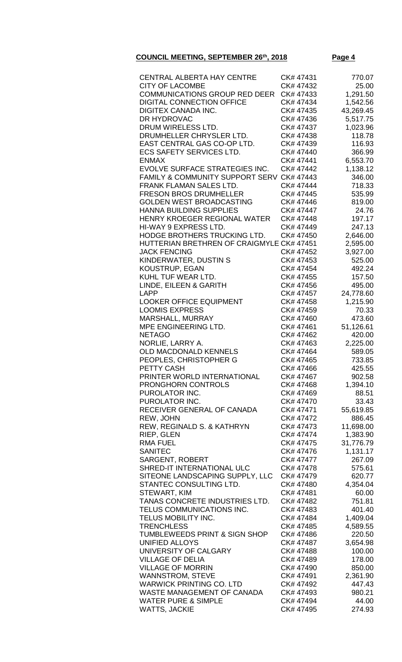| CENTRAL ALBERTA HAY CENTRE                | CK# 47431 | 770.07    |
|-------------------------------------------|-----------|-----------|
| <b>CITY OF LACOMBE</b>                    | CK# 47432 | 25.00     |
| <b>COMMUNICATIONS GROUP RED DEER</b>      | CK# 47433 | 1,291.50  |
| <b>DIGITAL CONNECTION OFFICE</b>          | CK# 47434 | 1,542.56  |
| <b>DIGITEX CANADA INC.</b>                | CK# 47435 | 43,269.45 |
|                                           |           |           |
| DR HYDROVAC                               | CK# 47436 | 5,517.75  |
| DRUM WIRELESS LTD.                        | CK# 47437 | 1,023.96  |
| DRUMHELLER CHRYSLER LTD.                  | CK# 47438 | 118.78    |
| EAST CENTRAL GAS CO-OP LTD.               | CK# 47439 | 116.93    |
| <b>ECS SAFETY SERVICES LTD.</b>           | CK# 47440 | 366.99    |
| <b>ENMAX</b>                              |           |           |
|                                           | CK# 47441 | 6,553.70  |
| <b>EVOLVE SURFACE STRATEGIES INC.</b>     | CK# 47442 | 1,138.12  |
| FAMILY & COMMUNITY SUPPORT SERV CK# 47443 |           | 346.00    |
| FRANK FLAMAN SALES LTD.                   | CK# 47444 | 718.33    |
| <b>FRESON BROS DRUMHELLER</b>             | CK# 47445 | 535.99    |
|                                           |           |           |
| <b>GOLDEN WEST BROADCASTING</b>           | CK# 47446 | 819.00    |
| <b>HANNA BUILDING SUPPLIES</b>            | CK# 47447 | 24.76     |
| HENRY KROEGER REGIONAL WATER              | CK# 47448 | 197.17    |
| HI-WAY 9 EXPRESS LTD.                     | CK# 47449 | 247.13    |
| HODGE BROTHERS TRUCKING LTD.              | CK# 47450 | 2,646.00  |
| HUTTERIAN BRETHREN OF CRAIGMYLE CK# 47451 |           |           |
|                                           |           | 2,595.00  |
| <b>JACK FENCING</b>                       | CK# 47452 | 3,927.00  |
| KINDERWATER, DUSTIN S                     | CK# 47453 | 525.00    |
| <b>KOUSTRUP, EGAN</b>                     | CK# 47454 | 492.24    |
| KUHL TUF WEAR LTD.                        | CK# 47455 | 157.50    |
|                                           | CK# 47456 | 495.00    |
| LINDE, EILEEN & GARITH                    |           |           |
| LAPP                                      | CK# 47457 | 24,778.60 |
| <b>LOOKER OFFICE EQUIPMENT</b>            | CK# 47458 | 1,215.90  |
| <b>LOOMIS EXPRESS</b>                     | CK# 47459 | 70.33     |
| MARSHALL, MURRAY                          | CK# 47460 | 473.60    |
| MPE ENGINEERING LTD.                      | CK# 47461 | 51,126.61 |
| <b>NETAGO</b>                             | CK# 47462 | 420.00    |
|                                           | CK# 47463 |           |
| NORLIE, LARRY A.                          |           | 2,225.00  |
| <b>OLD MACDONALD KENNELS</b>              | CK# 47464 | 589.05    |
| PEOPLES, CHRISTOPHER G                    | CK# 47465 | 733.85    |
| PETTY CASH                                | CK# 47466 | 425.55    |
| PRINTER WORLD INTERNATIONAL               | CK# 47467 | 902.58    |
| <b>PRONGHORN CONTROLS</b>                 | CK# 47468 | 1,394.10  |
| PUROLATOR INC.                            | CK# 47469 | 88.51     |
| PUROLATOR INC.                            | CK# 47470 | 33.43     |
|                                           |           |           |
| RECEIVER GENERAL OF CANADA                | CK# 47471 | 55,619.85 |
| REW, JOHN                                 | CK# 47472 | 886.45    |
| REW, REGINALD S. & KATHRYN                | CK# 47473 | 11,698.00 |
| <b>RIEP, GLEN</b>                         | CK# 47474 | 1,383.90  |
| <b>RMA FUEL</b>                           | CK# 47475 | 31,776.79 |
| <b>SANITEC</b>                            | CK# 47476 | 1,131.17  |
| <b>SARGENT, ROBERT</b>                    | CK# 47477 | 267.09    |
|                                           |           |           |
| SHRED-IT INTERNATIONAL ULC                | CK# 47478 | 575.61    |
| SITEONE LANDSCAPING SUPPLY, LLC           | CK# 47479 | 620.77    |
| STANTEC CONSULTING LTD.                   | CK# 47480 | 4,354.04  |
| STEWART, KIM                              | CK# 47481 | 60.00     |
| TANAS CONCRETE INDUSTRIES LTD.            | CK# 47482 | 751.81    |
| TELUS COMMUNICATIONS INC.                 | CK# 47483 | 401.40    |
|                                           |           |           |
| TELUS MOBILITY INC.                       | CK# 47484 | 1,409.04  |
| <b>TRENCHLESS</b>                         | CK# 47485 | 4,589.55  |
| TUMBLEWEEDS PRINT & SIGN SHOP             | CK# 47486 | 220.50    |
| <b>UNIFIED ALLOYS</b>                     | CK# 47487 | 3,654.98  |
| UNIVERSITY OF CALGARY                     | CK# 47488 | 100.00    |
| <b>VILLAGE OF DELIA</b>                   | CK# 47489 | 178.00    |
| <b>VILLAGE OF MORRIN</b>                  | CK# 47490 | 850.00    |
|                                           |           |           |
| <b>WANNSTROM, STEVE</b>                   | CK# 47491 | 2,361.90  |
| <b>WARWICK PRINTING CO. LTD</b>           | CK# 47492 | 447.43    |
| <b>WASTE MANAGEMENT OF CANADA</b>         | CK# 47493 | 980.21    |
| <b>WATER PURE &amp; SIMPLE</b>            | CK# 47494 | 44.00     |
| <b>WATTS, JACKIE</b>                      | CK# 47495 | 274.93    |
|                                           |           |           |